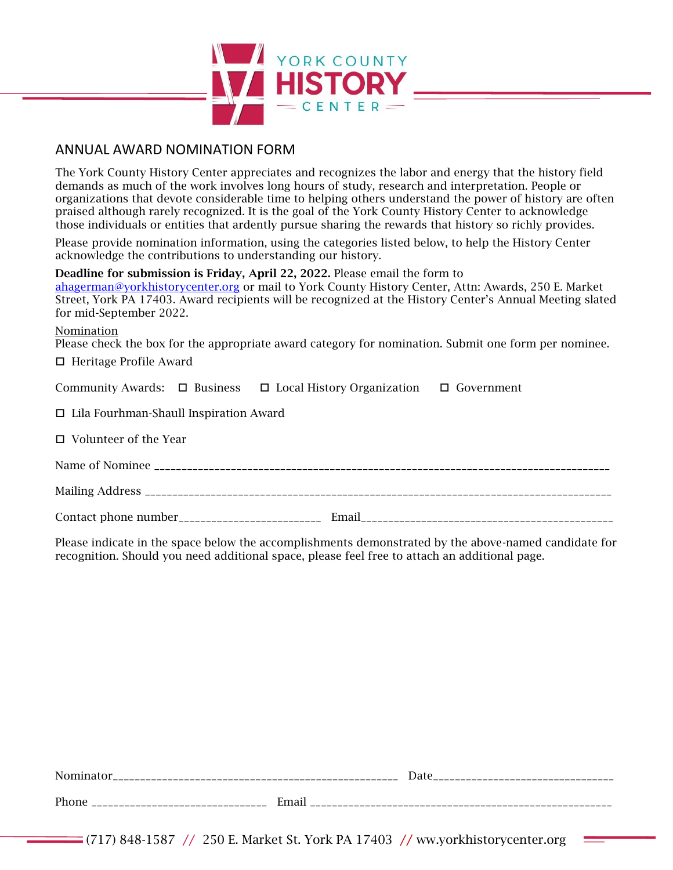

## ANNUAL AWARD NOMINATION FORM

The York County History Center appreciates and recognizes the labor and energy that the history field demands as much of the work involves long hours of study, research and interpretation. People or organizations that devote considerable time to helping others understand the power of history are often praised although rarely recognized. It is the goal of the York County History Center to acknowledge those individuals or entities that ardently pursue sharing the rewards that history so richly provides.

Please provide nomination information, using the categories listed below, to help the History Center acknowledge the contributions to understanding our history.

Deadline for submission is Friday, April 22, 2022. Please email the form to

[ahagerman@yorkhistorycenter.org](mailto:ahagerman@yorkhistorycenter.org) or mail to York County History Center, Attn: Awards, 250 E. Market Street, York PA 17403. Award recipients will be recognized at the History Center's Annual Meeting slated for mid-September 2022.

#### Nomination

Please check the box for the appropriate award category for nomination. Submit one form per nominee.

 $\Box$  Heritage Profile Award

|                                               | Community Awards: $\Box$ Business $\Box$ Local History Organization $\Box$ Government |  |  |  |
|-----------------------------------------------|---------------------------------------------------------------------------------------|--|--|--|
| $\Box$ Lila Fourhman-Shaull Inspiration Award |                                                                                       |  |  |  |
| $\Box$ Volunteer of the Year                  |                                                                                       |  |  |  |
|                                               |                                                                                       |  |  |  |
|                                               |                                                                                       |  |  |  |
|                                               |                                                                                       |  |  |  |

Please indicate in the space below the accomplishments demonstrated by the above-named candidate for recognition. Should you need additional space, please feel free to attach an additional page.

| Nominator |       | Date |
|-----------|-------|------|
| Phone     | Email |      |

 $(717)$  848-1587 // 250 E. Market St. York PA 17403 // ww.yorkhistorycenter.org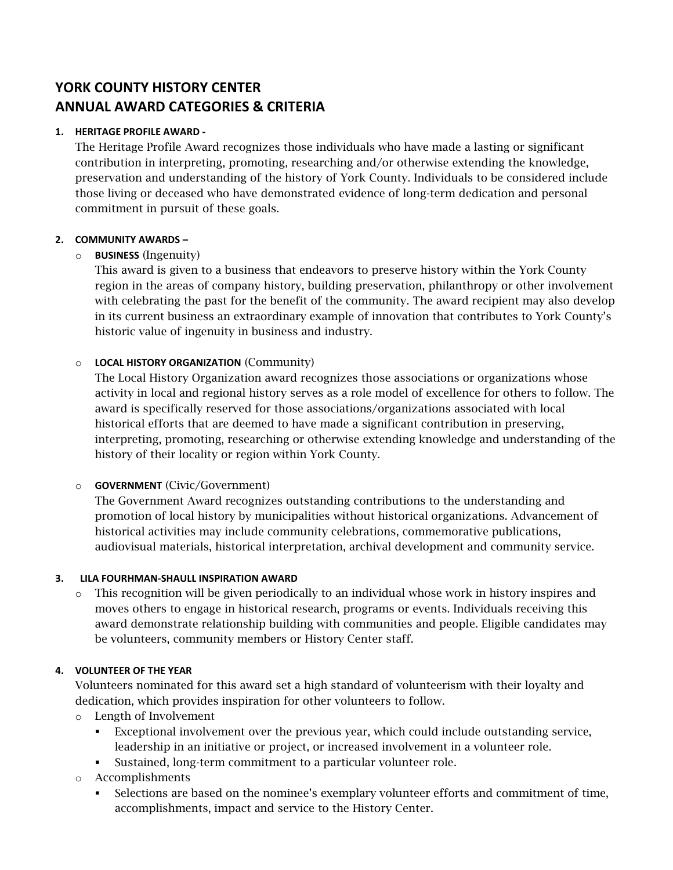# **YORK COUNTY HISTORY CENTER ANNUAL AWARD CATEGORIES & CRITERIA**

#### **1. HERITAGE PROFILE AWARD -**

The Heritage Profile Award recognizes those individuals who have made a lasting or significant contribution in interpreting, promoting, researching and/or otherwise extending the knowledge, preservation and understanding of the history of York County. Individuals to be considered include those living or deceased who have demonstrated evidence of long-term dedication and personal commitment in pursuit of these goals.

#### **2. COMMUNITY AWARDS –**

### o **BUSINESS** (Ingenuity)

This award is given to a business that endeavors to preserve history within the York County region in the areas of company history, building preservation, philanthropy or other involvement with celebrating the past for the benefit of the community. The award recipient may also develop in its current business an extraordinary example of innovation that contributes to York County's historic value of ingenuity in business and industry.

#### o **LOCAL HISTORY ORGANIZATION** (Community)

The Local History Organization award recognizes those associations or organizations whose activity in local and regional history serves as a role model of excellence for others to follow. The award is specifically reserved for those associations/organizations associated with local historical efforts that are deemed to have made a significant contribution in preserving, interpreting, promoting, researching or otherwise extending knowledge and understanding of the history of their locality or region within York County.

### o **GOVERNMENT** (Civic/Government)

The Government Award recognizes outstanding contributions to the understanding and promotion of local history by municipalities without historical organizations. Advancement of historical activities may include community celebrations, commemorative publications, audiovisual materials, historical interpretation, archival development and community service.

#### **3. LILA FOURHMAN-SHAULL INSPIRATION AWARD**

o This recognition will be given periodically to an individual whose work in history inspires and moves others to engage in historical research, programs or events. Individuals receiving this award demonstrate relationship building with communities and people. Eligible candidates may be volunteers, community members or History Center staff.

#### **4. VOLUNTEER OF THE YEAR**

Volunteers nominated for this award set a high standard of volunteerism with their loyalty and dedication, which provides inspiration for other volunteers to follow.

- o Length of Involvement
	- Exceptional involvement over the previous year, which could include outstanding service, leadership in an initiative or project, or increased involvement in a volunteer role.
	- Sustained, long-term commitment to a particular volunteer role.

### o Accomplishments

Selections are based on the nominee's exemplary volunteer efforts and commitment of time, accomplishments, impact and service to the History Center.